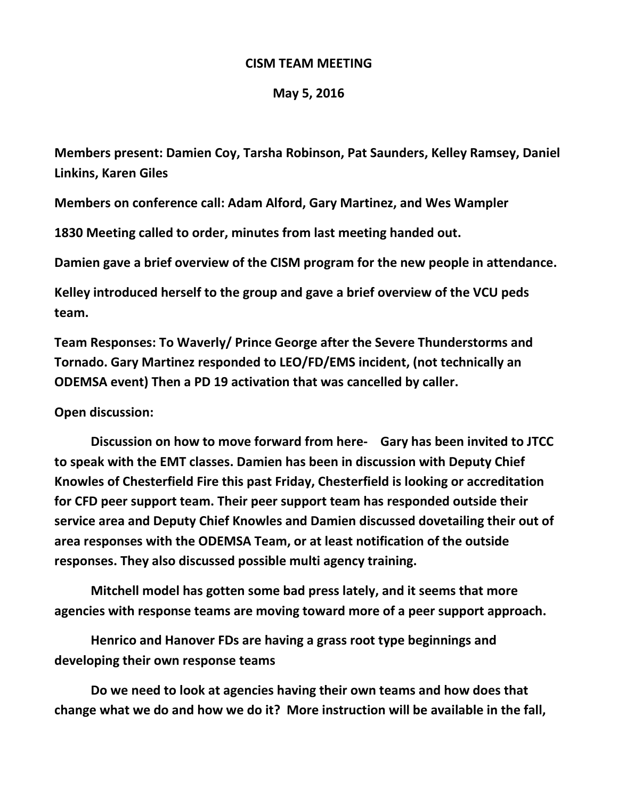## **CISM TEAM MEETING**

## **May 5, 2016**

**Members present: Damien Coy, Tarsha Robinson, Pat Saunders, Kelley Ramsey, Daniel Linkins, Karen Giles**

**Members on conference call: Adam Alford, Gary Martinez, and Wes Wampler**

**1830 Meeting called to order, minutes from last meeting handed out.** 

**Damien gave a brief overview of the CISM program for the new people in attendance.**

**Kelley introduced herself to the group and gave a brief overview of the VCU peds team.**

**Team Responses: To Waverly/ Prince George after the Severe Thunderstorms and Tornado. Gary Martinez responded to LEO/FD/EMS incident, (not technically an ODEMSA event) Then a PD 19 activation that was cancelled by caller.**

## **Open discussion:**

**Discussion on how to move forward from here- Gary has been invited to JTCC to speak with the EMT classes. Damien has been in discussion with Deputy Chief Knowles of Chesterfield Fire this past Friday, Chesterfield is looking or accreditation for CFD peer support team. Their peer support team has responded outside their service area and Deputy Chief Knowles and Damien discussed dovetailing their out of area responses with the ODEMSA Team, or at least notification of the outside responses. They also discussed possible multi agency training.**

**Mitchell model has gotten some bad press lately, and it seems that more agencies with response teams are moving toward more of a peer support approach.** 

**Henrico and Hanover FDs are having a grass root type beginnings and developing their own response teams**

**Do we need to look at agencies having their own teams and how does that change what we do and how we do it? More instruction will be available in the fall,**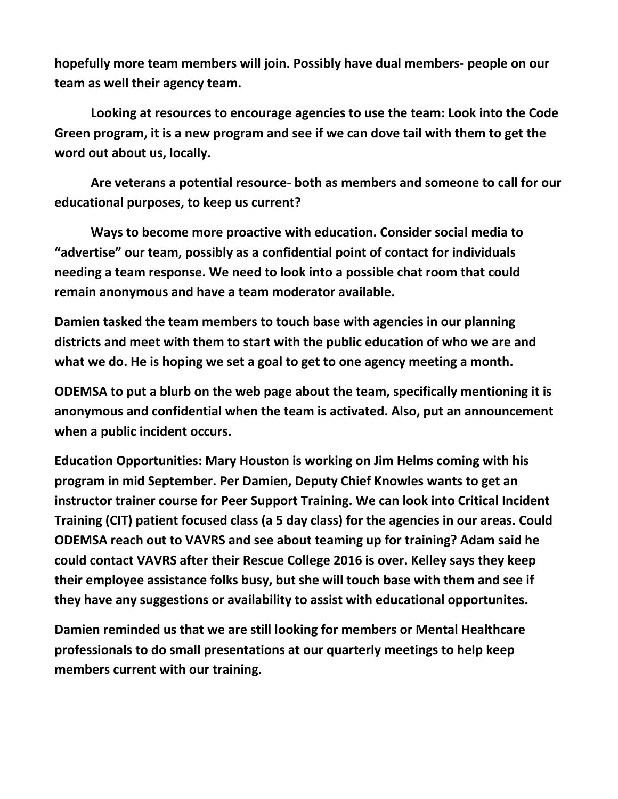**hopefully more team members will join. Possibly have dual members- people on our team as well their agency team.**

**Looking at resources to encourage agencies to use the team: Look into the Code Green program, it is a new program and see if we can dove tail with them to get the word out about us, locally.** 

**Are veterans a potential resource- both as members and someone to call for our educational purposes, to keep us current?**

**Ways to become more proactive with education. Consider social media to "advertise" our team, possibly as a confidential point of contact for individuals needing a team response. We need to look into a possible chat room that could remain anonymous and have a team moderator available.**

**Damien tasked the team members to touch base with agencies in our planning districts and meet with them to start with the public education of who we are and what we do. He is hoping we set a goal to get to one agency meeting a month.**

**ODEMSA to put a blurb on the web page about the team, specifically mentioning it is anonymous and confidential when the team is activated. Also, put an announcement when a public incident occurs.**

**Education Opportunities: Mary Houston is working on Jim Helms coming with his program in mid September. Per Damien, Deputy Chief Knowles wants to get an instructor trainer course for Peer Support Training. We can look into Critical Incident Training (CIT) patient focused class (a 5 day class) for the agencies in our areas. Could ODEMSA reach out to VAVRS and see about teaming up for training? Adam said he could contact VAVRS after their Rescue College 2016 is over. Kelley says they keep their employee assistance folks busy, but she will touch base with them and see if they have any suggestions or availability to assist with educational opportunites.**

**Damien reminded us that we are still looking for members or Mental Healthcare professionals to do small presentations at our quarterly meetings to help keep members current with our training.**